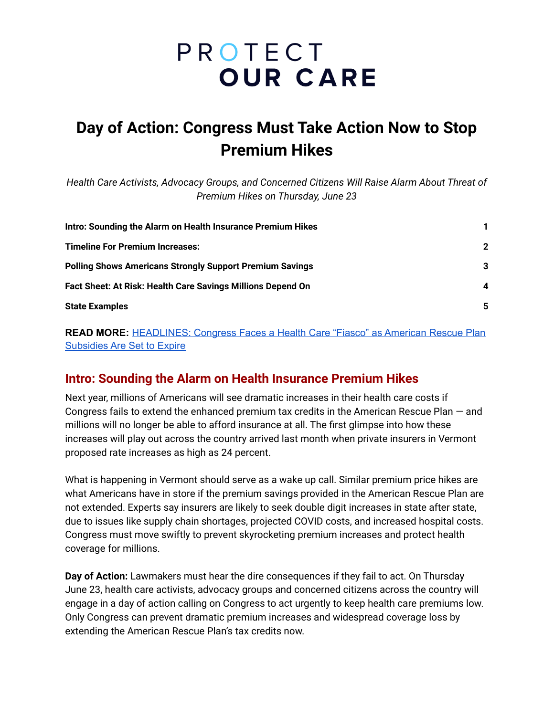# PROTECT **OUR CARE**

# **Day of Action: Congress Must Take Action Now to Stop Premium Hikes**

*Health Care Activists, Advocacy Groups, and Concerned Citizens Will Raise Alarm About Threat of Premium Hikes on Thursday, June 23*

| Intro: Sounding the Alarm on Health Insurance Premium Hikes     | $\mathbf 2$<br>3<br>4 |
|-----------------------------------------------------------------|-----------------------|
| <b>Timeline For Premium Increases:</b>                          |                       |
| <b>Polling Shows Americans Strongly Support Premium Savings</b> |                       |
| Fact Sheet: At Risk: Health Care Savings Millions Depend On     |                       |
| <b>State Examples</b>                                           | 5                     |

**READ MORE:** [HEADLINES:](https://www.protectourcare.org/headlines-congress-faces-a-health-care-fiasco-as-american-rescue-plan-subsidies-are-set-to-expire/) Congress Faces a Health Care "Fiasco" as American Rescue Plan [Subsidies](https://www.protectourcare.org/headlines-congress-faces-a-health-care-fiasco-as-american-rescue-plan-subsidies-are-set-to-expire/) Are Set to Expire

#### <span id="page-0-0"></span>**Intro: Sounding the Alarm on Health Insurance Premium Hikes**

Next year, millions of Americans will see dramatic increases in their health care costs if Congress fails to extend the enhanced premium tax credits in the American Rescue Plan — and millions will no longer be able to afford insurance at all. The first glimpse into how these increases will play out across the country arrived last month when private insurers in Vermont proposed rate increases as high as 24 percent.

What is happening in Vermont should serve as a wake up call. Similar premium price hikes are what Americans have in store if the premium savings provided in the American Rescue Plan are not extended. Experts say insurers are likely to seek double digit increases in state after state, due to issues like supply chain shortages, projected COVID costs, and increased hospital costs. Congress must move swiftly to prevent skyrocketing premium increases and protect health coverage for millions.

**Day of Action:** Lawmakers must hear the dire consequences if they fail to act. On Thursday June 23, health care activists, advocacy groups and concerned citizens across the country will engage in a day of action calling on Congress to act urgently to keep health care premiums low. Only Congress can prevent dramatic premium increases and widespread coverage loss by extending the American Rescue Plan's tax credits now.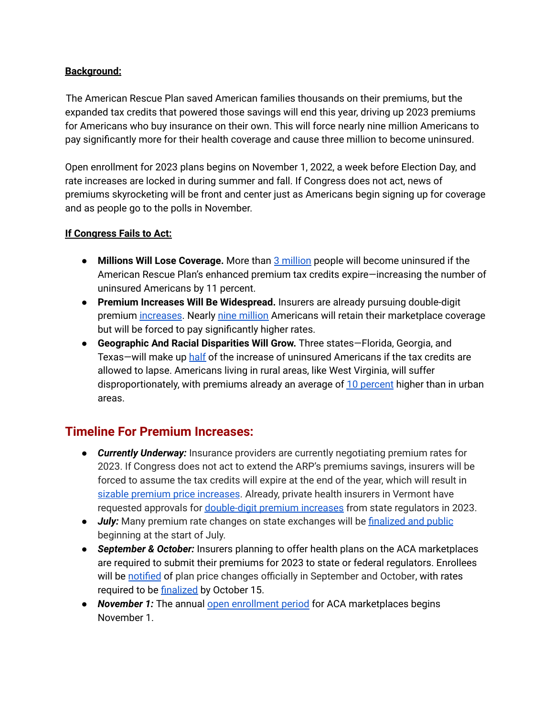#### **Background:**

The American Rescue Plan saved American families thousands on their premiums, but the expanded tax credits that powered those savings will end this year, driving up 2023 premiums for Americans who buy insurance on their own. This will force nearly nine million Americans to pay significantly more for their health coverage and cause three million to become uninsured.

Open enrollment for 2023 plans begins on November 1, 2022, a week before Election Day, and rate increases are locked in during summer and fall. If Congress does not act, news of premiums skyrocketing will be front and center just as Americans begin signing up for coverage and as people go to the polls in November.

#### **If Congress Fails to Act:**

- **Millions Will Lose Coverage.** More than 3 [million](https://www.rwjf.org/en/library/research/2022/05/marketplace-pulse--the-coming-coverage-cliff--some-states-have-a-lot-to-lose.html) people will become uninsured if the American Rescue Plan's enhanced premium tax credits expire—increasing the number of uninsured Americans by 11 percent.
- **Premium Increases Will Be Widespread.** Insurers are already pursuing double-digit premium [increases](https://ratereview.vermont.gov/mvp-rate-review-open-for-review). Nearly nine [million](https://aspe.hhs.gov/sites/default/files/documents/1647ad29528ee85a48d6ffa9e7bfbc8f/arp-ptc-sunset-impacts-03-22-22%20Final.pdf) Americans will retain their marketplace coverage but will be forced to pay significantly higher rates.
- **Geographic And Racial Disparities Will Grow.** Three states—Florida, Georgia, and Texas—will make up [half](https://www.rwjf.org/en/library/research/2022/05/marketplace-pulse--the-coming-coverage-cliff--some-states-have-a-lot-to-lose.html) of the increase of uninsured Americans if the tax credits are allowed to lapse. Americans living in rural areas, like West Virginia, will suffer disproportionately, with premiums already an average of 10 [percent](https://www.rwjf.org/en/library/research/2022/05/marketplace-pulse--the-coming-coverage-cliff--some-states-have-a-lot-to-lose.html) higher than in urban areas.

### <span id="page-1-0"></span>**Timeline For Premium Increases:**

- *Currently Underway:* Insurance providers are currently negotiating premium rates for 2023. If Congress does not act to extend the ARP's premiums savings, insurers will be forced to assume the tax credits will expire at the end of the year, which will result in sizable premium price [increases](https://www.nashp.org/state-based-marketplaces-say-many-will-lose-coverage-if-premium-assistance-expires/). Already, private health insurers in Vermont have requested approvals for [double-digit](https://ratereview.vermont.gov/mvp-rate-review-open-for-review) premium increases from state regulators in 2023.
- *July:* Many premium rate changes on state exchanges will be [finalized](https://www.nashp.org/state-based-marketplaces-say-many-will-lose-coverage-if-premium-assistance-expires/) and public beginning at the start of July.
- *September & October:* Insurers planning to offer health plans on the ACA marketplaces are required to submit their premiums for 2023 to state or federal regulators. Enrollees will be [notified](https://www.nashp.org/state-based-marketplaces-say-many-will-lose-coverage-if-premium-assistance-expires/) of plan price changes officially in September and October, with rates required to be **[finalized](https://www.kff.org/private-insurance/issue-brief/2021-premium-changes-on-aca-exchanges-and-the-impact-of-covid-19-on-rates/)** by October 15.
- *November 1:* The annual open [enrollment](https://www.hhs.gov/about/news/2021/10/25/preview-plans-now-open-enrollment-starts-november-1.html) period for ACA marketplaces begins November 1.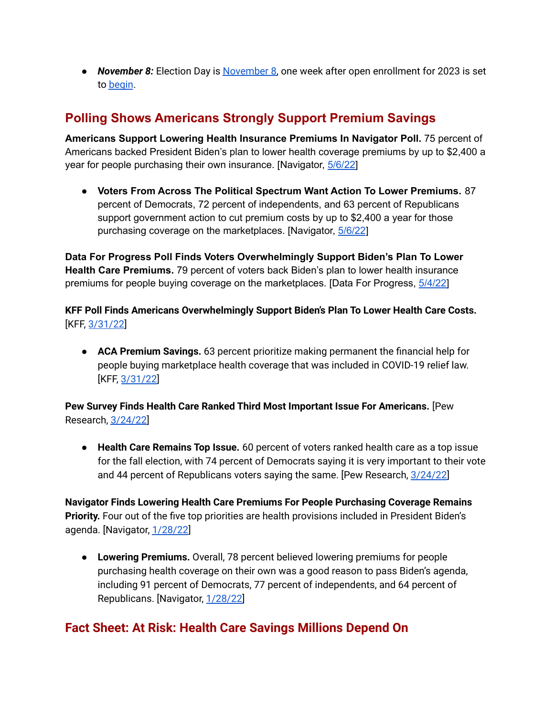● *November 8:* Election Day is [November](https://www.cnn.com/interactive/2022/politics/2022-midterm-election-calendar/) 8, one week after open enrollment for 2023 is set to [begin](https://www.kff.org/policy-watch/how-marketplace-costs-premiums-will-change-if-rescue-plan-subsidies-expire/).

# <span id="page-2-0"></span>**Polling Shows Americans Strongly Support Premium Savings**

**Americans Support Lowering Health Insurance Premiums In Navigator Poll.** 75 percent of Americans backed President Biden's plan to lower health coverage premiums by up to \$2,400 a year for people purchasing their own insurance. [Navigator, [5/6/22\]](https://navigatorresearch.org/majorities-support-each-component-of-bidens-agenda-and-oppose-each-of-scotts-agenda/)

● **Voters From Across The Political Spectrum Want Action To Lower Premiums.** 87 percent of Democrats, 72 percent of independents, and 63 percent of Republicans support government action to cut premium costs by up to \$2,400 a year for those purchasing coverage on the marketplaces. [Navigator,  $\frac{5}{6/22}$ ]

**Data For Progress Poll Finds Voters Overwhelmingly Support Biden's Plan To Lower Health Care Premiums.** 79 percent of voters back Biden's plan to lower health insurance premiums for people buying coverage on the marketplaces. [Data For Progress, [5/4/22\]](https://www.dataforprogress.org/blog/2022/5/3/voters-coverwhelmingly-support-bidens-investment-package)

**KFF Poll Finds Americans Overwhelmingly Support Biden's Plan To Lower Health Care Costs.** [KFF, [3/31/22\]](https://www.kff.org/health-costs/press-release/strategies-to-lower-drug-costs-top-the-publics-health-priorities-for-congress/)

● **ACA Premium Savings.** 63 percent prioritize making permanent the financial help for people buying marketplace health coverage that was included in COVID-19 relief law. [KFF, [3/31/22\]](https://www.kff.org/health-costs/press-release/strategies-to-lower-drug-costs-top-the-publics-health-priorities-for-congress/)

**Pew Survey Finds Health Care Ranked Third Most Important Issue For Americans.** [Pew Research, [3/24/22](https://www.pewresearch.org/politics/2022/03/24/republicans-more-likely-than-democrats-to-say-partisan-control-of-congress-really-matters/?utm_campaign=wp_the_health_202&utm_medium=email&utm_source=newsletter&wpisrc=nl_health202)]

● **Health Care Remains Top Issue.** 60 percent of voters ranked health care as a top issue for the fall election, with 74 percent of Democrats saying it is very important to their vote and 44 percent of Republicans voters saying the same. [Pew Research, [3/24/22](https://www.pewresearch.org/politics/2022/03/24/republicans-more-likely-than-democrats-to-say-partisan-control-of-congress-really-matters/?utm_campaign=wp_the_health_202&utm_medium=email&utm_source=newsletter&wpisrc=nl_health202)]

**Navigator Finds Lowering Health Care Premiums For People Purchasing Coverage Remains Priority.** Four out of the five top priorities are health provisions included in President Biden's agenda. [Navigator, [1/28/22](https://navigatorresearch.org/wp-content/uploads/2022/01/Navigator-Update-01.28.2022.pdf)]

**● Lowering Premiums.** Overall, 78 percent believed lowering premiums for people purchasing health coverage on their own was a good reason to pass Biden's agenda, including 91 percent of Democrats, 77 percent of independents, and 64 percent of Republicans. [Navigator, [1/28/22\]](https://navigatorresearch.org/wp-content/uploads/2022/01/Navigator-Update-01.28.2022.pdf)

## <span id="page-2-1"></span>**Fact Sheet: At Risk: Health Care Savings Millions Depend On**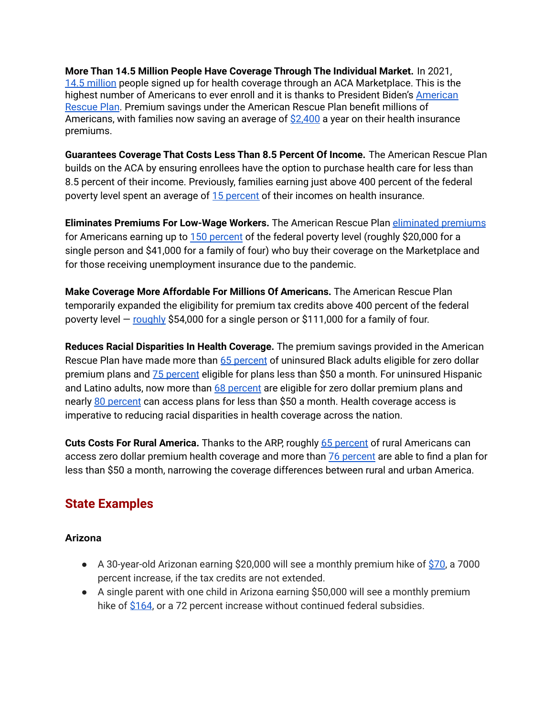**More Than 14.5 Million People Have Coverage Through The Individual Market.** In 2021, 14.5 [million](https://www.hhs.gov/about/news/2022/01/27/biden-harris-administration-announces-14-5-million-americans-signed-affordable-health-care-during-historic-open-enrollment-period.html) people signed up for health coverage through an ACA Marketplace. This is the highest number of Americans to ever enroll and it is thanks to President Biden's [American](https://www.whitehouse.gov/briefing-room/statements-releases/2022/01/27/statement-by-president-biden-on-14-5-million-americans-signing-up-for-health-insurance/) [Rescue](https://www.whitehouse.gov/briefing-room/statements-releases/2022/01/27/statement-by-president-biden-on-14-5-million-americans-signing-up-for-health-insurance/) Plan. Premium savings under the American Rescue Plan benefit millions of Americans, with families now saving an average of  $$2,400$  a year on their health insurance premiums.

**Guarantees Coverage That Costs Less Than 8.5 Percent Of Income.** The American Rescue Plan builds on the ACA by ensuring enrollees have the option to purchase health care for less than 8.5 percent of their income. Previously, families earning just above 400 percent of the federal poverty level spent an average of 15 [percent](https://www.vox.com/policy-and-politics/22264115/joe-biden-covid-19-stimulus-plan-medicaid-expansion) of their incomes on health insurance.

**Eliminates Premiums For Low-Wage Workers.** The American Rescue Plan [eliminated](https://www.kff.org/health-reform/issue-brief/how-the-american-rescue-plan-will-improve-affordability-of-private-health-coverage/) premiums for Americans earning up to 150 [percent](https://aspe.hhs.gov/topics/poverty-economic-mobility/poverty-guidelines) of the federal poverty level (roughly \$20,000 for a single person and \$41,000 for a family of four) who buy their coverage on the Marketplace and for those receiving unemployment insurance due to the pandemic.

**Make Coverage More Affordable For Millions Of Americans.** The American Rescue Plan temporarily expanded the eligibility for premium tax credits above 400 percent of the federal poverty level — [roughly](https://www.cbpp.org/research/health/health-provisions-in-house-relief-bill-would-improve-access-to-health-coverage#_ftn1) \$54,000 for a single person or \$111,000 for a family of four.

**Reduces Racial Disparities In Health Coverage.** The premium savings provided in the American Rescue Plan have made more than 65 [percent](https://aspe.hhs.gov/sites/default/files/migrated_legacy_files//199741/ASPE%20ACA%20Low%20Premium%20Plans%20Issue%20Brief%20II.pdf) of uninsured Black adults eligible for zero dollar premium plans and 75 [percent](https://aspe.hhs.gov/sites/default/files/migrated_legacy_files//199741/ASPE%20ACA%20Low%20Premium%20Plans%20Issue%20Brief%20II.pdf) eligible for plans less than \$50 a month. For uninsured Hispanic and Latino adults, now more than 68 [percent](https://aspe.hhs.gov/reports/access-marketplace-plans-low-premiums-federal-platform) are eligible for zero dollar premium plans and nearly 80 [percent](https://aspe.hhs.gov/reports/access-marketplace-plans-low-premiums-federal-platform) can access plans for less than \$50 a month. Health coverage access is imperative to reducing racial disparities in health coverage across the nation.

**Cuts Costs For Rural America.** Thanks to the ARP, roughly 65 [percent](https://aspe.hhs.gov/sites/default/files/migrated_legacy_files//199741/ASPE%20ACA%20Low%20Premium%20Plans%20Issue%20Brief%20II.pdf) of rural Americans can access zero dollar premium health coverage and more than 76 [percent](https://aspe.hhs.gov/sites/default/files/migrated_legacy_files//199741/ASPE%20ACA%20Low%20Premium%20Plans%20Issue%20Brief%20II.pdf) are able to find a plan for less than \$50 a month, narrowing the coverage differences between rural and urban America.

# <span id="page-3-0"></span>**State Examples**

#### **Arizona**

- $\bullet$  A 30-year-old Arizonan earning \$20,000 will see a monthly premium hike of [\\$70](https://acasignups.net/22/05/16/state-state-how-much-more-will-you-pay-if-amrescueplan-subsidies-arent-extended), a 7000 percent increase, if the tax credits are not extended.
- A single parent with one child in Arizona earning \$50,000 will see a monthly premium hike of [\\$164](https://acasignups.net/22/05/16/state-state-how-much-more-will-you-pay-if-amrescueplan-subsidies-arent-extended), or a 72 percent increase without continued federal subsidies.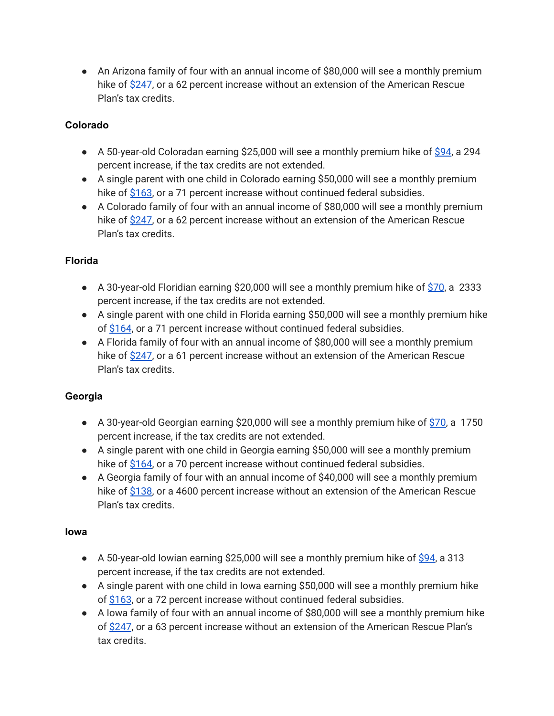• An Arizona family of four with an annual income of \$80,000 will see a monthly premium hike of [\\$247](https://acasignups.net/22/05/16/state-state-how-much-more-will-you-pay-if-amrescueplan-subsidies-arent-extended), or a 62 percent increase without an extension of the American Rescue Plan's tax credits.

#### **Colorado**

- A 50-year-old Coloradan earning \$25,000 will see a monthly premium hike of [\\$94](https://acasignups.net/22/05/16/state-state-how-much-more-will-you-pay-if-amrescueplan-subsidies-arent-extended), a 294 percent increase, if the tax credits are not extended.
- A single parent with one child in Colorado earning \$50,000 will see a monthly premium hike of [\\$163](https://acasignups.net/22/05/16/state-state-how-much-more-will-you-pay-if-amrescueplan-subsidies-arent-extended), or a 71 percent increase without continued federal subsidies.
- A Colorado family of four with an annual income of \$80,000 will see a monthly premium hike of [\\$247](https://acasignups.net/22/05/16/state-state-how-much-more-will-you-pay-if-amrescueplan-subsidies-arent-extended), or a 62 percent increase without an extension of the American Rescue Plan's tax credits.

#### **Florida**

- A 30-year-old Floridian earning \$20,000 will see a monthly premium hike of  $$70$ , a 2333 percent increase, if the tax credits are not extended.
- A single parent with one child in Florida earning \$50,000 will see a monthly premium hike of [\\$164](https://acasignups.net/22/05/16/state-state-how-much-more-will-you-pay-if-amrescueplan-subsidies-arent-extended), or a 71 percent increase without continued federal subsidies.
- A Florida family of four with an annual income of \$80,000 will see a monthly premium hike of [\\$247](https://acasignups.net/22/05/16/state-state-how-much-more-will-you-pay-if-amrescueplan-subsidies-arent-extended), or a 61 percent increase without an extension of the American Rescue Plan's tax credits.

#### **Georgia**

- A 30-year-old Georgian earning \$20,000 will see a monthly premium hike of  $$70$ , a 1750 percent increase, if the tax credits are not extended.
- A single parent with one child in Georgia earning \$50,000 will see a monthly premium hike of [\\$164](https://acasignups.net/22/05/16/state-state-how-much-more-will-you-pay-if-amrescueplan-subsidies-arent-extended), or a 70 percent increase without continued federal subsidies.
- A Georgia family of four with an annual income of \$40,000 will see a monthly premium hike of [\\$138](https://acasignups.net/22/05/16/state-state-how-much-more-will-you-pay-if-amrescueplan-subsidies-arent-extended), or a 4600 percent increase without an extension of the American Rescue Plan's tax credits.

#### **Iowa**

- $\bullet$  A 50-year-old lowian earning \$25,000 will see a monthly premium hike of [\\$94](https://acasignups.net/22/05/16/state-state-how-much-more-will-you-pay-if-amrescueplan-subsidies-arent-extended), a 313 percent increase, if the tax credits are not extended.
- A single parent with one child in Iowa earning \$50,000 will see a monthly premium hike of [\\$163](https://acasignups.net/22/05/16/state-state-how-much-more-will-you-pay-if-amrescueplan-subsidies-arent-extended), or a 72 percent increase without continued federal subsidies.
- A Iowa family of four with an annual income of \$80,000 will see a monthly premium hike of [\\$247](https://acasignups.net/22/05/16/state-state-how-much-more-will-you-pay-if-amrescueplan-subsidies-arent-extended), or a 63 percent increase without an extension of the American Rescue Plan's tax credits.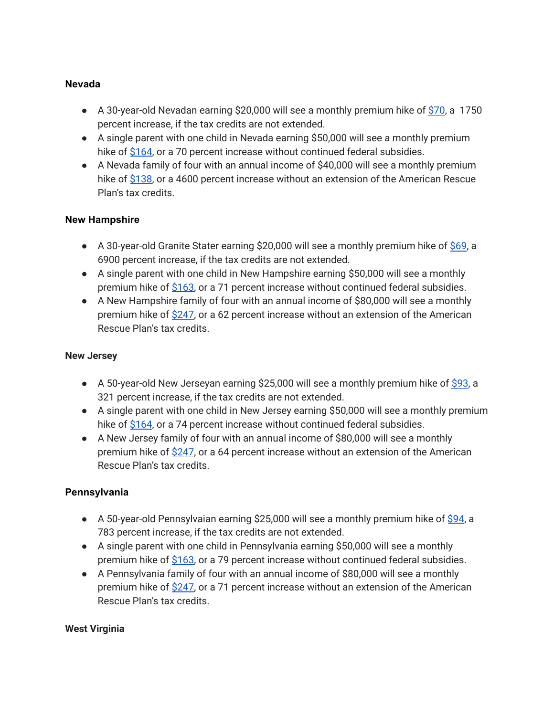#### **Nevada**

- $\bullet$  A 30-year-old Nevadan earning \$20,000 will see a monthly premium hike of [\\$70](https://acasignups.net/22/05/16/state-state-how-much-more-will-you-pay-if-amrescueplan-subsidies-arent-extended), a 1750 percent increase, if the tax credits are not extended.
- A single parent with one child in Nevada earning \$50,000 will see a monthly premium hike of [\\$164](https://acasignups.net/22/05/16/state-state-how-much-more-will-you-pay-if-amrescueplan-subsidies-arent-extended), or a 70 percent increase without continued federal subsidies.
- A Nevada family of four with an annual income of \$40,000 will see a monthly premium hike of [\\$138](https://acasignups.net/22/05/16/state-state-how-much-more-will-you-pay-if-amrescueplan-subsidies-arent-extended), or a 4600 percent increase without an extension of the American Rescue Plan's tax credits.

#### **New Hampshire**

- $\bullet$  A 30-year-old Granite Stater earning \$20,000 will see a monthly premium hike of [\\$69](https://acasignups.net/22/05/16/state-state-how-much-more-will-you-pay-if-amrescueplan-subsidies-arent-extended), a 6900 percent increase, if the tax credits are not extended.
- A single parent with one child in New Hampshire earning \$50,000 will see a monthly premium hike of [\\$163,](https://acasignups.net/22/05/16/state-state-how-much-more-will-you-pay-if-amrescueplan-subsidies-arent-extended) or a 71 percent increase without continued federal subsidies.
- A New Hampshire family of four with an annual income of \$80,000 will see a monthly premium hike of [\\$247,](https://acasignups.net/22/05/16/state-state-how-much-more-will-you-pay-if-amrescueplan-subsidies-arent-extended) or a 62 percent increase without an extension of the American Rescue Plan's tax credits.

#### **New Jersey**

- $\bullet$  A 50-year-old New Jerseyan earning \$25,000 will see a monthly premium hike of [\\$93,](https://acasignups.net/22/05/16/state-state-how-much-more-will-you-pay-if-amrescueplan-subsidies-arent-extended) a 321 percent increase, if the tax credits are not extended.
- A single parent with one child in New Jersey earning \$50,000 will see a monthly premium hike of [\\$164](https://acasignups.net/22/05/16/state-state-how-much-more-will-you-pay-if-amrescueplan-subsidies-arent-extended), or a 74 percent increase without continued federal subsidies.
- A New Jersey family of four with an annual income of \$80,000 will see a monthly premium hike of [\\$247,](https://acasignups.net/22/05/16/state-state-how-much-more-will-you-pay-if-amrescueplan-subsidies-arent-extended) or a 64 percent increase without an extension of the American Rescue Plan's tax credits.

#### **Pennsylvania**

- $\bullet$  A 50-year-old Pennsylvaian earning \$25,000 will see a monthly premium hike of [\\$94](https://acasignups.net/22/05/16/state-state-how-much-more-will-you-pay-if-amrescueplan-subsidies-arent-extended), a 783 percent increase, if the tax credits are not extended.
- A single parent with one child in Pennsylvania earning \$50,000 will see a monthly premium hike of [\\$163,](https://acasignups.net/22/05/16/state-state-how-much-more-will-you-pay-if-amrescueplan-subsidies-arent-extended) or a 79 percent increase without continued federal subsidies.
- A Pennsylvania family of four with an annual income of \$80,000 will see a monthly premium hike of [\\$247,](https://acasignups.net/22/05/16/state-state-how-much-more-will-you-pay-if-amrescueplan-subsidies-arent-extended) or a 71 percent increase without an extension of the American Rescue Plan's tax credits.

#### **West Virginia**